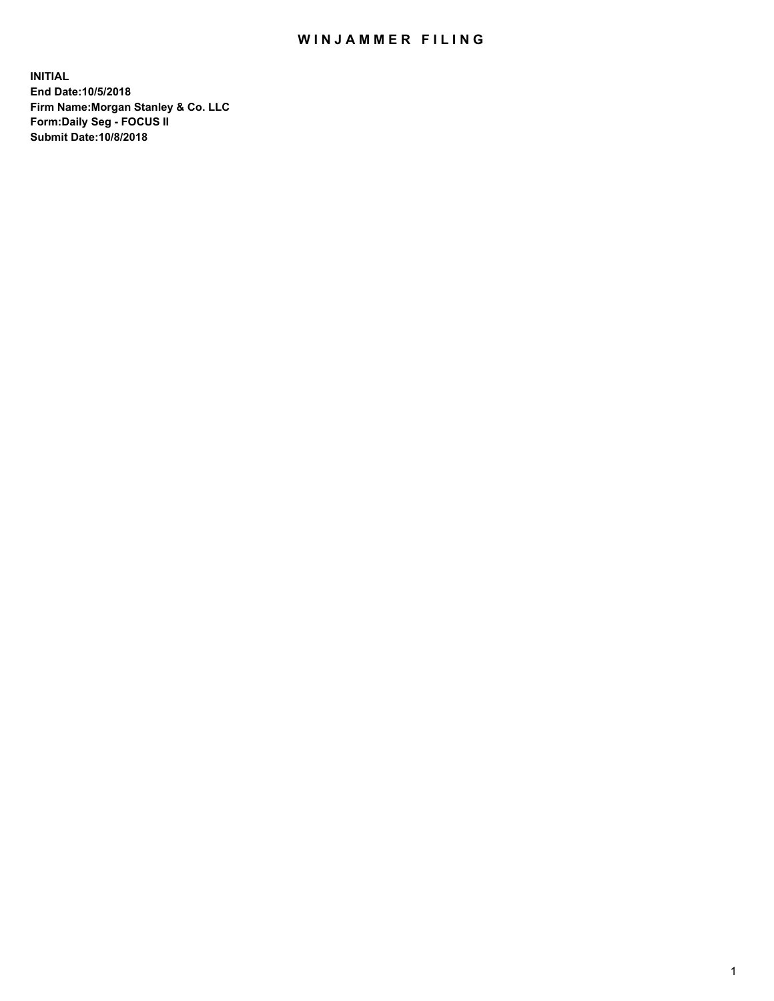## WIN JAMMER FILING

**INITIAL End Date:10/5/2018 Firm Name:Morgan Stanley & Co. LLC Form:Daily Seg - FOCUS II Submit Date:10/8/2018**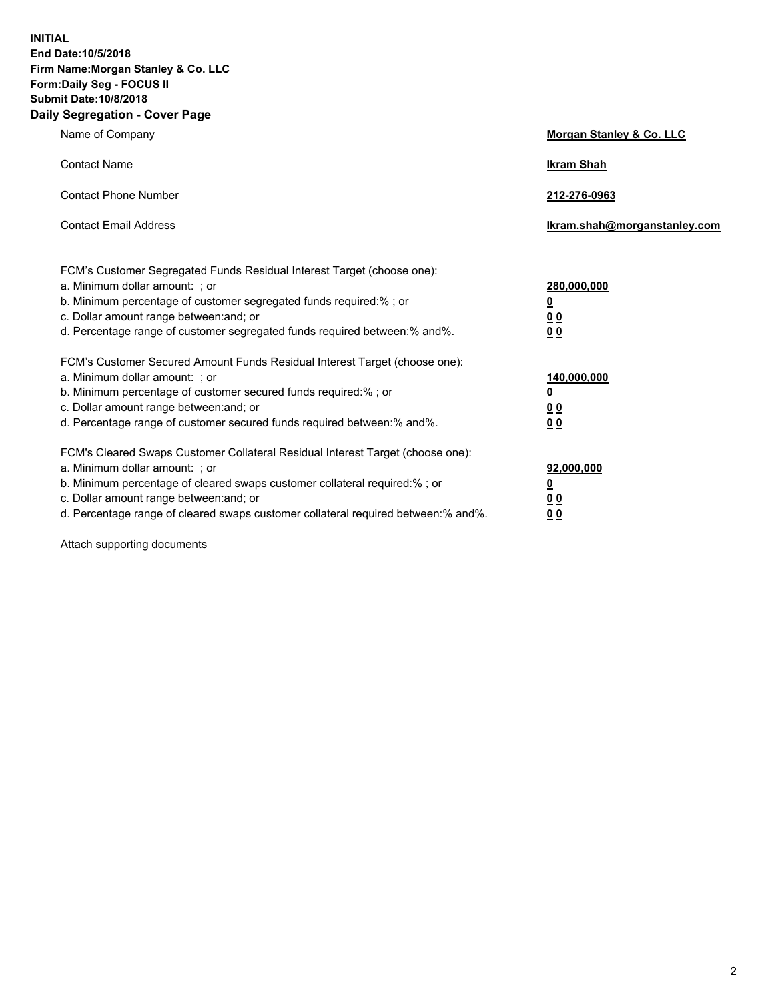**INITIAL End Date:10/5/2018 Firm Name:Morgan Stanley & Co. LLC Form:Daily Seg - FOCUS II Submit Date:10/8/2018 Daily Segregation - Cover Page**

| Name of Company                                                                                                                                                                                                                                                                                                               | Morgan Stanley & Co. LLC                                    |
|-------------------------------------------------------------------------------------------------------------------------------------------------------------------------------------------------------------------------------------------------------------------------------------------------------------------------------|-------------------------------------------------------------|
| <b>Contact Name</b>                                                                                                                                                                                                                                                                                                           | <b>Ikram Shah</b>                                           |
| <b>Contact Phone Number</b>                                                                                                                                                                                                                                                                                                   | 212-276-0963                                                |
| <b>Contact Email Address</b>                                                                                                                                                                                                                                                                                                  | Ikram.shah@morganstanley.com                                |
| FCM's Customer Segregated Funds Residual Interest Target (choose one):<br>a. Minimum dollar amount: ; or<br>b. Minimum percentage of customer segregated funds required:% ; or<br>c. Dollar amount range between: and; or<br>d. Percentage range of customer segregated funds required between:% and%.                        | 280,000,000<br><u>0</u><br><u>00</u><br>0 <sup>0</sup>      |
| FCM's Customer Secured Amount Funds Residual Interest Target (choose one):<br>a. Minimum dollar amount: ; or<br>b. Minimum percentage of customer secured funds required:%; or<br>c. Dollar amount range between: and; or<br>d. Percentage range of customer secured funds required between:% and%.                           | 140,000,000<br><u>0</u><br>0 <sub>0</sub><br>0 <sub>0</sub> |
| FCM's Cleared Swaps Customer Collateral Residual Interest Target (choose one):<br>a. Minimum dollar amount: ; or<br>b. Minimum percentage of cleared swaps customer collateral required:%; or<br>c. Dollar amount range between: and; or<br>d. Percentage range of cleared swaps customer collateral required between:% and%. | 92,000,000<br><u>0</u><br>0 Q<br>00                         |

Attach supporting documents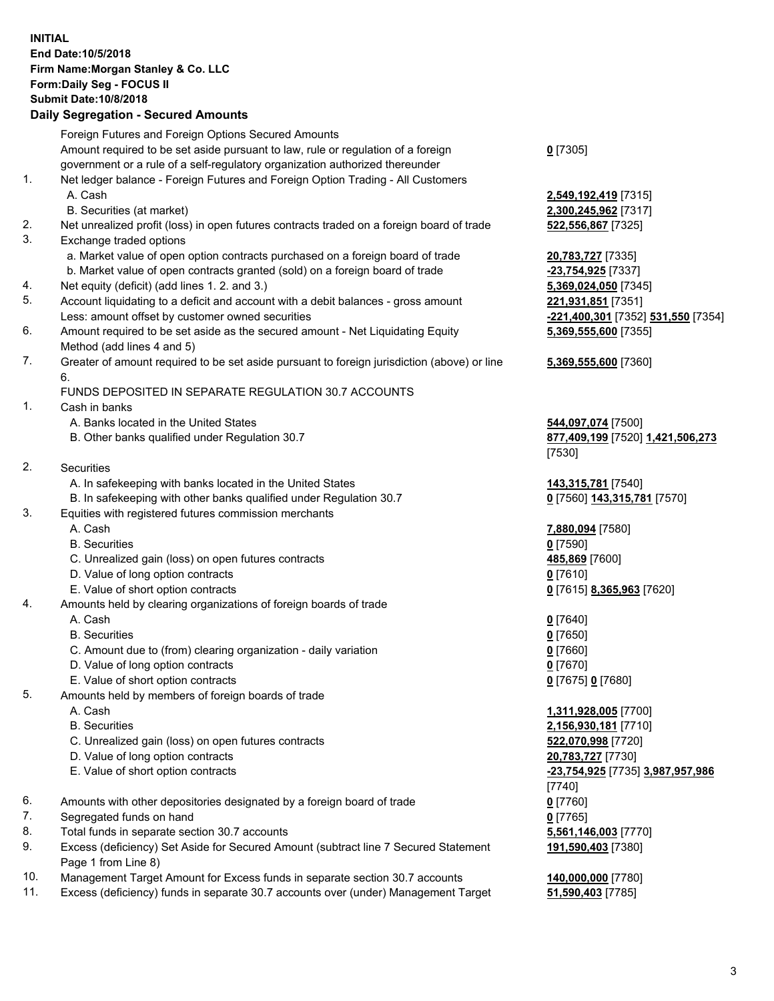## **INITIAL End Date:10/5/2018 Firm Name:Morgan Stanley & Co. LLC Form:Daily Seg - FOCUS II Submit Date:10/8/2018**

## **Daily Segregation - Secured Amounts**

|                | Foreign Futures and Foreign Options Secured Amounts                                                        |                      |
|----------------|------------------------------------------------------------------------------------------------------------|----------------------|
|                | Amount required to be set aside pursuant to law, rule or regulation of a foreign                           | $0$ [7305]           |
|                | government or a rule of a self-regulatory organization authorized thereunder                               |                      |
| $\mathbf{1}$ . | Net ledger balance - Foreign Futures and Foreign Option Trading - All Customers                            |                      |
|                | A. Cash                                                                                                    | 2,549,19             |
|                | B. Securities (at market)                                                                                  | 2,300,24             |
| 2.             | Net unrealized profit (loss) in open futures contracts traded on a foreign board of trade                  | 522,556              |
| 3.             | Exchange traded options                                                                                    |                      |
|                | a. Market value of open option contracts purchased on a foreign board of trade                             | 20,783,7             |
|                | b. Market value of open contracts granted (sold) on a foreign board of trade                               | $-23,754,$           |
| 4.             | Net equity (deficit) (add lines 1.2. and 3.)                                                               | 5,369,02             |
| 5.             | Account liquidating to a deficit and account with a debit balances - gross amount                          | 221,931              |
|                | Less: amount offset by customer owned securities                                                           | $-221,400$           |
| 6.             | Amount required to be set aside as the secured amount - Net Liquidating Equity                             | 5,369,55             |
|                | Method (add lines 4 and 5)                                                                                 |                      |
| 7.             | Greater of amount required to be set aside pursuant to foreign jurisdiction (above) or line                | 5,369,55             |
|                | 6.                                                                                                         |                      |
|                | FUNDS DEPOSITED IN SEPARATE REGULATION 30.7 ACCOUNTS                                                       |                      |
| 1.             | Cash in banks                                                                                              |                      |
|                | A. Banks located in the United States                                                                      | 544,097              |
|                | B. Other banks qualified under Regulation 30.7                                                             | 877,409              |
|                |                                                                                                            | $[7530]$             |
| 2.             | Securities                                                                                                 |                      |
|                | A. In safekeeping with banks located in the United States                                                  | 143,315              |
|                | B. In safekeeping with other banks qualified under Regulation 30.7                                         | $0$ [7560]           |
| 3.             | Equities with registered futures commission merchants                                                      |                      |
|                | A. Cash                                                                                                    | 7,880,09             |
|                | <b>B.</b> Securities                                                                                       | $0$ [7590]           |
|                | C. Unrealized gain (loss) on open futures contracts                                                        | 485,869              |
|                | D. Value of long option contracts                                                                          | $0$ [7610]           |
|                | E. Value of short option contracts                                                                         | $0$ [7615]           |
| 4.             | Amounts held by clearing organizations of foreign boards of trade                                          |                      |
|                | A. Cash                                                                                                    | $0$ [7640]           |
|                | <b>B.</b> Securities                                                                                       | $0$ [7650]           |
|                | C. Amount due to (from) clearing organization - daily variation                                            | $0$ [7660]           |
|                | D. Value of long option contracts                                                                          | $0$ [7670]           |
|                | E. Value of short option contracts                                                                         | $0$ [7675]           |
| 5.             | Amounts held by members of foreign boards of trade                                                         |                      |
|                | A. Cash                                                                                                    | 1,311,92             |
|                | <b>B.</b> Securities                                                                                       | 2,156,93             |
|                | C. Unrealized gain (loss) on open futures contracts                                                        | 522,070              |
|                | D. Value of long option contracts                                                                          | 20,783,7             |
|                | E. Value of short option contracts                                                                         | $-23,754,$           |
|                |                                                                                                            | $\left[ 7740\right]$ |
| 6.             | Amounts with other depositories designated by a foreign board of trade                                     | $0$ [7760]           |
| 7.             | Segregated funds on hand                                                                                   | $0$ [7765]           |
| 8.             | Total funds in separate section 30.7 accounts                                                              | 5,561,14             |
| 9.             | Excess (deficiency) Set Aside for Secured Amount (subtract line 7 Secured Statement<br>Page 1 from Line 8) | 191,590              |

- 10. Management Target Amount for Excess funds in separate section 30.7 accounts **140,000,000** [7780]
- 11. Excess (deficiency) funds in separate 30.7 accounts over (under) Management Target **51,590,403** [7785]

 A. Cash **2,549,192,419** [7315] **80, 245, 962** [7317] 2. 556,867 [7325]

a. 783,727 [7335] **b. 754,925** [7337] 69,024,050 [7345] **931,851** [7351] Less: amount offset by customer owned securities **-221,400,301** [7352] **531,550** [7354] **5,369,555,600** [7355]

## **5,369,555,600** [7360]

A. **097,074** [7500] 8. **409,199** [7520] **1,421,506,273** [7530]

A. 315,781 [7540]  $[7560]$  143,315,781 [7570]

 A. Cash **7,880,094** [7580]  $6.869$  [7600] E. Value of short option contracts **0** [7615] **8,365,963** [7620]

E. Value of short option contracts **0** [7675] **0** [7680]

 A. Cash **1,311,928,005** [7700] **56,930,181** [7710] C. 070,998 [7720] D. Value of long option contracts **20,783,727** [7730] E. Value of short option contracts **-23,754,925** [7735] **3,987,957,986** 40] 81,146,003 [7770] **191,590,403** [7380]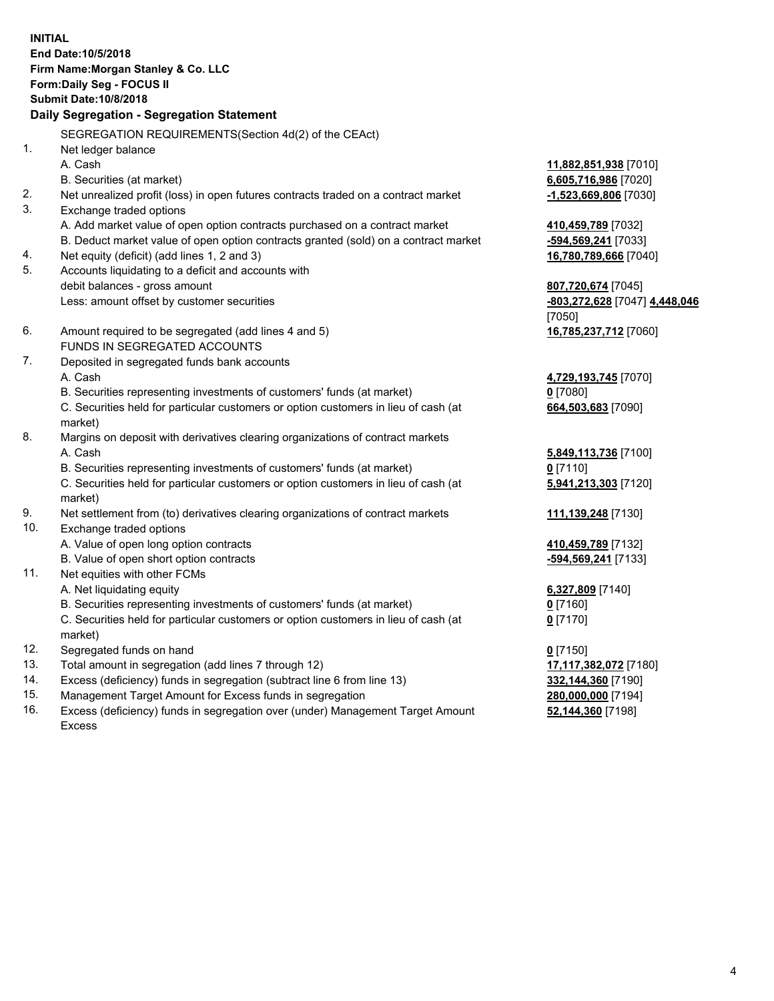**INITIAL End Date:10/5/2018 Firm Name:Morgan Stanley & Co. LLC Form:Daily Seg - FOCUS II Submit Date:10/8/2018 Daily Segregation - Segregation Statement** SEGREGATION REQUIREMENTS(Section 4d(2) of the CEAct) 1. Net ledger balance A. Cash **11,882,851,938** [7010] B. Securities (at market) **6,605,716,986** [7020] 2. Net unrealized profit (loss) in open futures contracts traded on a contract market **-1,523,669,806** [7030] 3. Exchange traded options A. Add market value of open option contracts purchased on a contract market **410,459,789** [7032] B. Deduct market value of open option contracts granted (sold) on a contract market **-594,569,241** [7033] 4. Net equity (deficit) (add lines 1, 2 and 3) **16,780,789,666** [7040] 5. Accounts liquidating to a deficit and accounts with debit balances - gross amount **807,720,674** [7045] Less: amount offset by customer securities **-803,272,628** [7047] **4,448,046** [7050] 6. Amount required to be segregated (add lines 4 and 5) **16,785,237,712** [7060] FUNDS IN SEGREGATED ACCOUNTS 7. Deposited in segregated funds bank accounts A. Cash **4,729,193,745** [7070] B. Securities representing investments of customers' funds (at market) **0** [7080] C. Securities held for particular customers or option customers in lieu of cash (at market) **664,503,683** [7090] 8. Margins on deposit with derivatives clearing organizations of contract markets A. Cash **5,849,113,736** [7100] B. Securities representing investments of customers' funds (at market) **0** [7110] C. Securities held for particular customers or option customers in lieu of cash (at market) **5,941,213,303** [7120] 9. Net settlement from (to) derivatives clearing organizations of contract markets **111,139,248** [7130] 10. Exchange traded options A. Value of open long option contracts **410,459,789** [7132] B. Value of open short option contracts **-594,569,241** [7133] 11. Net equities with other FCMs A. Net liquidating equity **6,327,809** [7140] B. Securities representing investments of customers' funds (at market) **0** [7160] C. Securities held for particular customers or option customers in lieu of cash (at market) **0** [7170] 12. Segregated funds on hand **0** [7150] 13. Total amount in segregation (add lines 7 through 12) **17,117,382,072** [7180] 14. Excess (deficiency) funds in segregation (subtract line 6 from line 13) **332,144,360** [7190] 15. Management Target Amount for Excess funds in segregation **280,000,000** [7194]

16. Excess (deficiency) funds in segregation over (under) Management Target Amount Excess

**52,144,360** [7198]